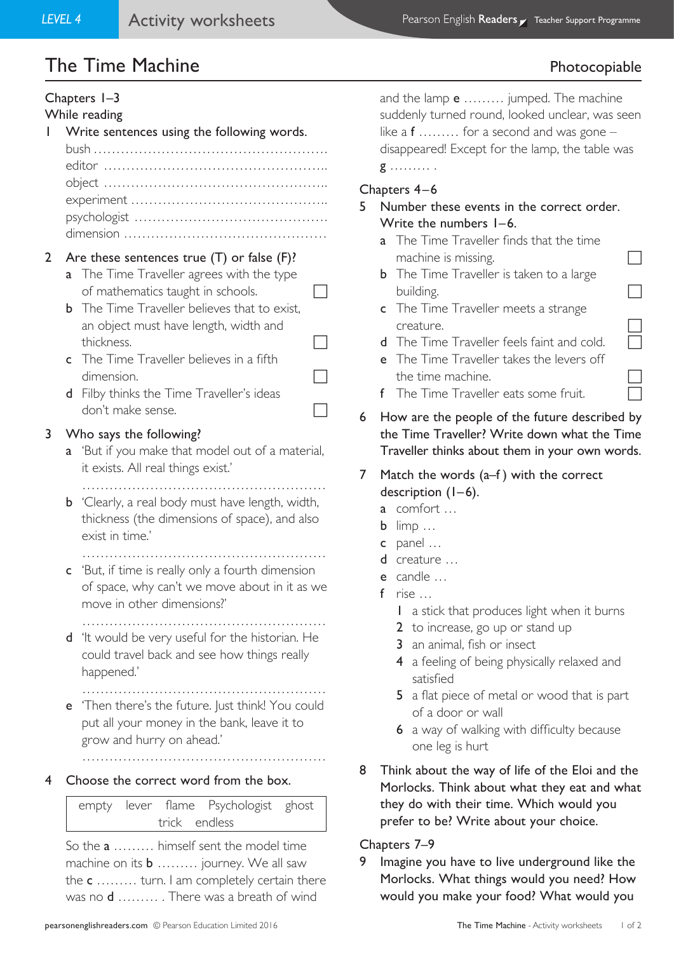# The Time Machine **Photocopiable**

## Chapters 1–3 While reading 1 Write sentences using the following words. bush ……………………………………………. editor ………………………………………….. object ………………………………………….. experiment …………………………………….. psychologist ……………………………………. dimension ……………………………………… 2 Are these sentences true (T) or false (F)? **a** The Time Traveller agrees with the type of mathematics taught in schools.  $\Box$ **b** The Time Traveller believes that to exist, an object must have length, width and thickness. c The Time Traveller believes in a fifth dimension. d Filby thinks the Time Traveller's ideas don't make sense.  $\Box$ 3 Who says the following? a 'But if you make that model out of a material, it exists. All real things exist.' ……………………………………………… **b** 'Clearly, a real body must have length, width, thickness (the dimensions of space), and also exist in time.' ……………………………………………… c 'But, if time is really only a fourth dimension of space, why can't we move about in it as we move in other dimensions?' ……………………………………………… d 'It would be very useful for the historian. He could travel back and see how things really happened.' ……………………………………………… e 'Then there's the future. Just think! You could put all your money in the bank, leave it to grow and hurry on ahead.' ……………………………………………… 4 Choose the correct word from the box. empty lever flame Psychologist ghost trick endless So the a ……… himself sent the model time

machine on its **b** ......... journey. We all saw the c ......... turn. I am completely certain there was no **d** ......... . There was a breath of wind

and the lamp **e** ......... jumped. The machine suddenly turned round, looked unclear, was seen like a  $f$  ........ for a second and was gone – disappeared! Except for the lamp, the table was g ……… .

## Chapters 4–6

### 5 Number these events in the correct order. Write the numbers 1–6.

- a The Time Traveller finds that the time machine is missing.
- **b** The Time Traveller is taken to a large building.
- c The Time Traveller meets a strange creature.
- d The Time Traveller feels faint and cold.
- e The Time Traveller takes the levers off the time machine.
- f The Time Traveller eats some fruit.
- 6 How are the people of the future described by the Time Traveller? Write down what the Time Traveller thinks about them in your own words.

7 Match the words (a–f ) with the correct description (1–6).

- a comfort …
- b limp …
- c panel …
- d creature …
- e candle …
- f rise …
	- 1 a stick that produces light when it burns
	- 2 to increase, go up or stand up
	- 3 an animal, fish or insect
	- 4 a feeling of being physically relaxed and satisfied
	- 5 a flat piece of metal or wood that is part of a door or wall
	- 6 a way of walking with difficulty because one leg is hurt
- 8 Think about the way of life of the Eloi and the Morlocks. Think about what they eat and what they do with their time. Which would you prefer to be? Write about your choice.

#### Chapters 7–9

9 Imagine you have to live underground like the Morlocks. What things would you need? How would you make your food? What would you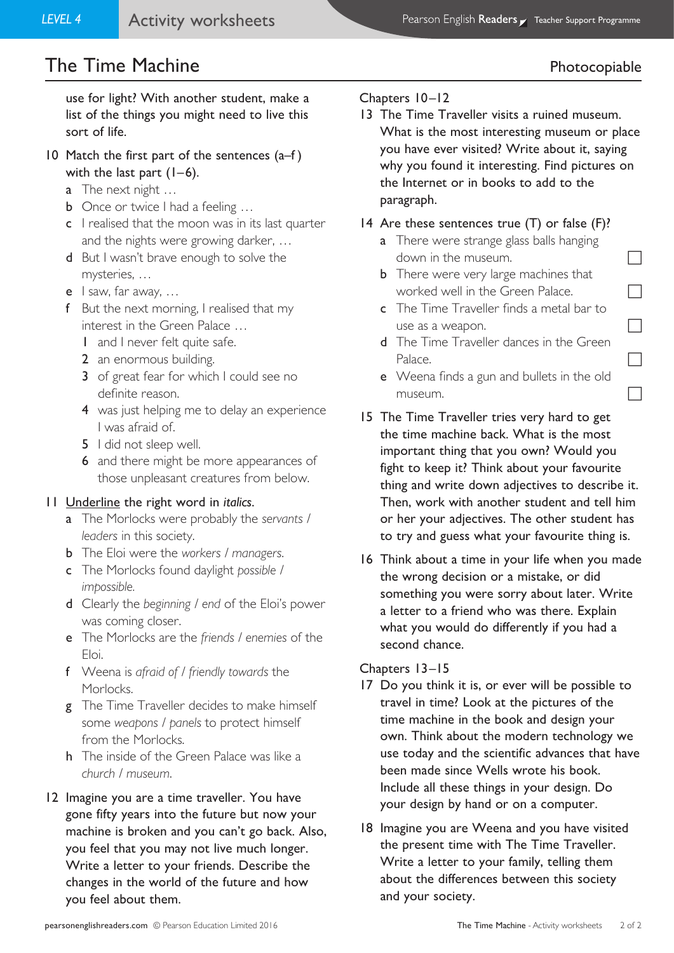## The Time Machine **Photocopiable**

use for light? With another student, make a list of the things you might need to live this sort of life.

- 10 Match the first part of the sentences (a–f ) with the last part  $(1-6)$ .
	- a The next night ...
	- **b** Once or twice I had a feeling ...
	- c I realised that the moon was in its last quarter and the nights were growing darker, …
	- d But I wasn't brave enough to solve the mysteries, …
	- e I saw, far away, …
	- f But the next morning, I realised that my interest in the Green Palace …
		- 1 and I never felt quite safe.
		- 2 an enormous building.
		- 3 of great fear for which I could see no definite reason.
		- 4 was just helping me to delay an experience I was afraid of.
		- 5 I did not sleep well.
		- 6 and there might be more appearances of those unpleasant creatures from below.

#### 11 Underline the right word in *italics*.

- a The Morlocks were probably the *servants / leaders* in this society.
- b The Eloi were the *workers / managers*.
- c The Morlocks found daylight *possible / impossible.*
- d Clearly the *beginning / end* of the Eloi's power was coming closer.
- e The Morlocks are the *friends / enemies* of the Eloi.
- f Weena is *afraid of / friendly towards* the Morlocks.
- g The Time Traveller decides to make himself some *weapons / panels* to protect himself from the Morlocks.
- h The inside of the Green Palace was like a *church / museum*.
- 12 Imagine you are a time traveller. You have gone fifty years into the future but now your machine is broken and you can't go back. Also, you feel that you may not live much longer. Write a letter to your friends. Describe the changes in the world of the future and how you feel about them.

### Chapters 10–12

13 The Time Traveller visits a ruined museum. What is the most interesting museum or place you have ever visited? Write about it, saying why you found it interesting. Find pictures on the Internet or in books to add to the paragraph.

#### 14 Are these sentences true (T) or false (F)?

- a There were strange glass balls hanging down in the museum.
- **b** There were very large machines that worked well in the Green Palace.
- c The Time Traveller finds a metal bar to use as a weapon.
- d The Time Traveller dances in the Green Palace.  $\Box$
- e Weena finds a gun and bullets in the old  $m$ useum.  $\Box$
- 15 The Time Traveller tries very hard to get the time machine back. What is the most important thing that you own? Would you fight to keep it? Think about your favourite thing and write down adjectives to describe it. Then, work with another student and tell him or her your adjectives. The other student has to try and guess what your favourite thing is.
- 16 Think about a time in your life when you made the wrong decision or a mistake, or did something you were sorry about later. Write a letter to a friend who was there. Explain what you would do differently if you had a second chance.

#### Chapters 13–15

- 17 Do you think it is, or ever will be possible to travel in time? Look at the pictures of the time machine in the book and design your own. Think about the modern technology we use today and the scientific advances that have been made since Wells wrote his book. Include all these things in your design. Do your design by hand or on a computer.
- 18 Imagine you are Weena and you have visited the present time with The Time Traveller. Write a letter to your family, telling them about the differences between this society and your society.